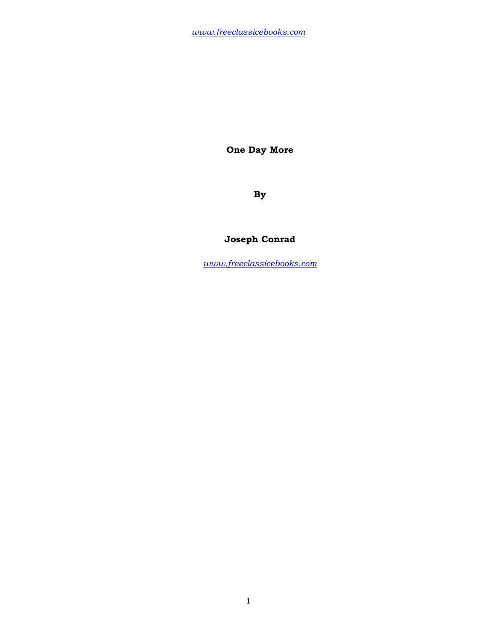**One Day More** 

**By** 

# **Joseph Conrad**

*www.freeclassicebooks.com*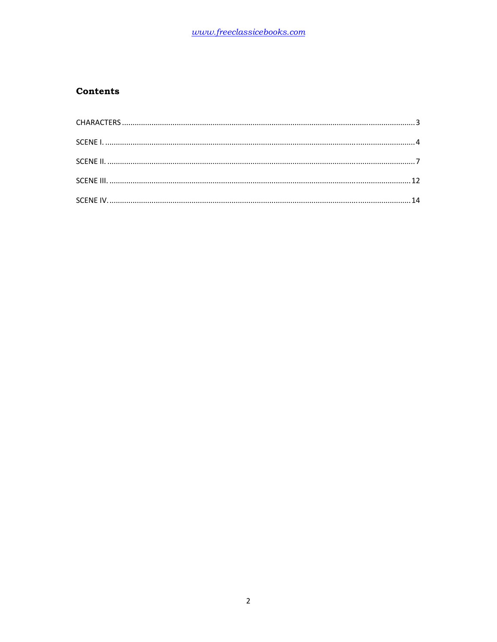# **Contents**

| 14 |
|----|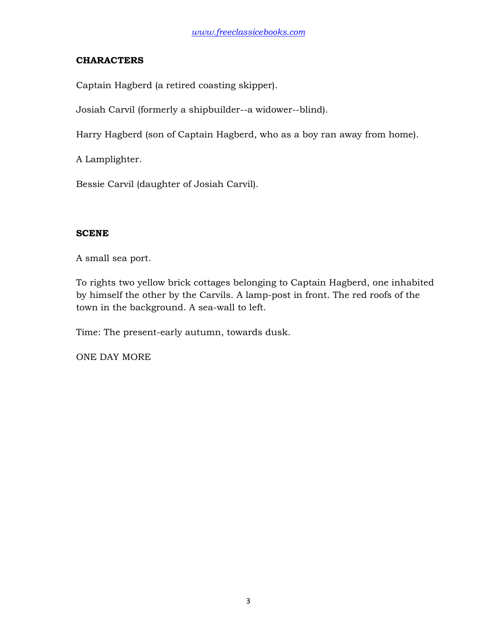## **CHARACTERS**

Captain Hagberd (a retired coasting skipper).

Josiah Carvil (formerly a shipbuilder--a widower--blind).

Harry Hagberd (son of Captain Hagberd, who as a boy ran away from home).

A Lamplighter.

Bessie Carvil (daughter of Josiah Carvil).

### **SCENE**

A small sea port.

To rights two yellow brick cottages belonging to Captain Hagberd, one inhabited by himself the other by the Carvils. A lamp-post in front. The red roofs of the town in the background. A sea-wall to left.

Time: The present-early autumn, towards dusk.

ONE DAY MORE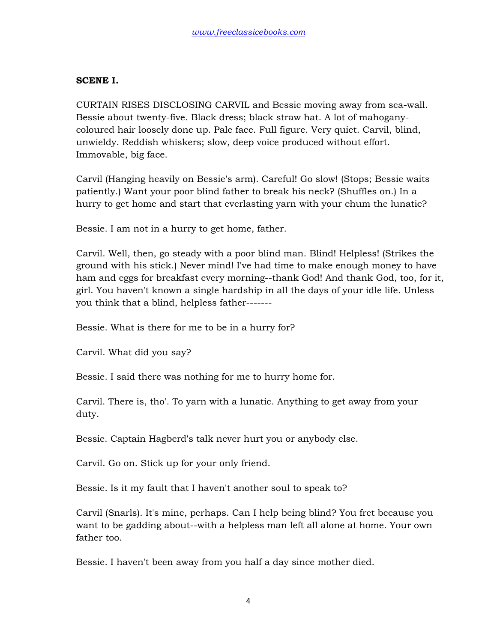#### **SCENE I.**

CURTAIN RISES DISCLOSING CARVIL and Bessie moving away from sea-wall. Bessie about twenty-five. Black dress; black straw hat. A lot of mahoganycoloured hair loosely done up. Pale face. Full figure. Very quiet. Carvil, blind, unwieldy. Reddish whiskers; slow, deep voice produced without effort. Immovable, big face.

Carvil (Hanging heavily on Bessie's arm). Careful! Go slow! (Stops; Bessie waits patiently.) Want your poor blind father to break his neck? (Shuffles on.) In a hurry to get home and start that everlasting yarn with your chum the lunatic?

Bessie. I am not in a hurry to get home, father.

Carvil. Well, then, go steady with a poor blind man. Blind! Helpless! (Strikes the ground with his stick.) Never mind! I've had time to make enough money to have ham and eggs for breakfast every morning--thank God! And thank God, too, for it, girl. You haven't known a single hardship in all the days of your idle life. Unless you think that a blind, helpless father-------

Bessie. What is there for me to be in a hurry for?

Carvil. What did you say?

Bessie. I said there was nothing for me to hurry home for.

Carvil. There is, tho'. To yarn with a lunatic. Anything to get away from your duty.

Bessie. Captain Hagberd's talk never hurt you or anybody else.

Carvil. Go on. Stick up for your only friend.

Bessie. Is it my fault that I haven't another soul to speak to?

Carvil (Snarls). It's mine, perhaps. Can I help being blind? You fret because you want to be gadding about--with a helpless man left all alone at home. Your own father too.

Bessie. I haven't been away from you half a day since mother died.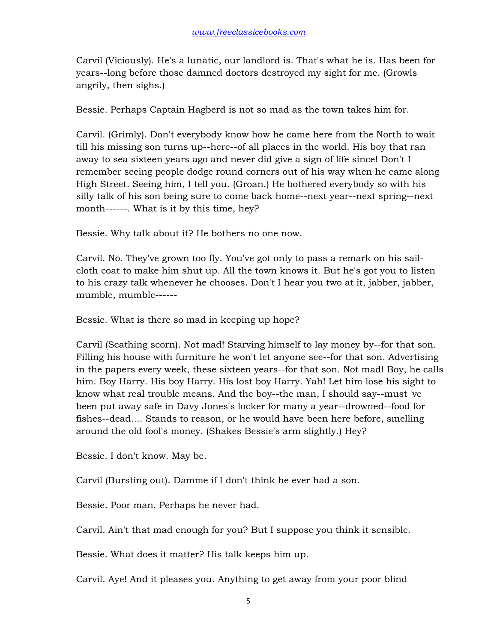Carvil (Viciously). He's a lunatic, our landlord is. That's what he is. Has been for years--long before those damned doctors destroyed my sight for me. (Growls angrily, then sighs.)

Bessie. Perhaps Captain Hagberd is not so mad as the town takes him for.

Carvil. (Grimly). Don't everybody know how he came here from the North to wait till his missing son turns up--here--of all places in the world. His boy that ran away to sea sixteen years ago and never did give a sign of life since! Don't I remember seeing people dodge round corners out of his way when he came along High Street. Seeing him, I tell you. (Groan.) He bothered everybody so with his silly talk of his son being sure to come back home--next year--next spring--next month------. What is it by this time, hey?

Bessie. Why talk about it? He bothers no one now.

Carvil. No. They've grown too fly. You've got only to pass a remark on his sailcloth coat to make him shut up. All the town knows it. But he's got you to listen to his crazy talk whenever he chooses. Don't I hear you two at it, jabber, jabber, mumble, mumble------

Bessie. What is there so mad in keeping up hope?

Carvil (Scathing scorn). Not mad! Starving himself to lay money by--for that son. Filling his house with furniture he won't let anyone see--for that son. Advertising in the papers every week, these sixteen years--for that son. Not mad! Boy, he calls him. Boy Harry. His boy Harry. His lost boy Harry. Yah! Let him lose his sight to know what real trouble means. And the boy--the man, I should say--must 've been put away safe in Davy Jones's locker for many a year--drowned--food for fishes--dead.... Stands to reason, or he would have been here before, smelling around the old fool's money. (Shakes Bessie's arm slightly.) Hey?

Bessie. I don't know. May be.

Carvil (Bursting out). Damme if I don't think he ever had a son.

Bessie. Poor man. Perhaps he never had.

Carvil. Ain't that mad enough for you? But I suppose you think it sensible.

Bessie. What does it matter? His talk keeps him up.

Carvil. Aye! And it pleases you. Anything to get away from your poor blind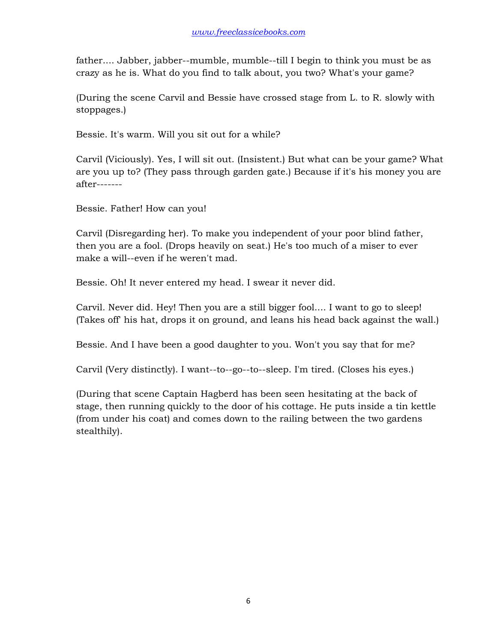father.... Jabber, jabber--mumble, mumble--till I begin to think you must be as crazy as he is. What do you find to talk about, you two? What's your game?

(During the scene Carvil and Bessie have crossed stage from L. to R. slowly with stoppages.)

Bessie. It's warm. Will you sit out for a while?

Carvil (Viciously). Yes, I will sit out. (Insistent.) But what can be your game? What are you up to? (They pass through garden gate.) Because if it's his money you are after-------

Bessie. Father! How can you!

Carvil (Disregarding her). To make you independent of your poor blind father, then you are a fool. (Drops heavily on seat.) He's too much of a miser to ever make a will--even if he weren't mad.

Bessie. Oh! It never entered my head. I swear it never did.

Carvil. Never did. Hey! Then you are a still bigger fool.... I want to go to sleep! (Takes off' his hat, drops it on ground, and leans his head back against the wall.)

Bessie. And I have been a good daughter to you. Won't you say that for me?

Carvil (Very distinctly). I want--to--go--to--sleep. I'm tired. (Closes his eyes.)

(During that scene Captain Hagberd has been seen hesitating at the back of stage, then running quickly to the door of his cottage. He puts inside a tin kettle (from under his coat) and comes down to the railing between the two gardens stealthily).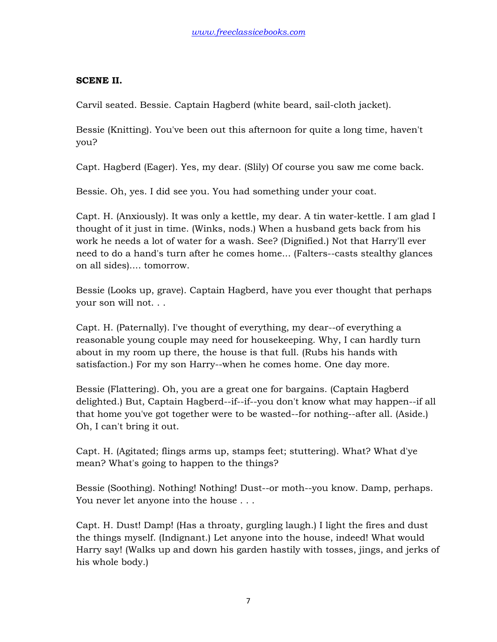#### **SCENE II.**

Carvil seated. Bessie. Captain Hagberd (white beard, sail-cloth jacket).

Bessie (Knitting). You've been out this afternoon for quite a long time, haven't you?

Capt. Hagberd (Eager). Yes, my dear. (Slily) Of course you saw me come back.

Bessie. Oh, yes. I did see you. You had something under your coat.

Capt. H. (Anxiously). It was only a kettle, my dear. A tin water-kettle. I am glad I thought of it just in time. (Winks, nods.) When a husband gets back from his work he needs a lot of water for a wash. See? (Dignified.) Not that Harry'll ever need to do a hand's turn after he comes home... (Falters--casts stealthy glances on all sides).... tomorrow.

Bessie (Looks up, grave). Captain Hagberd, have you ever thought that perhaps your son will not. . .

Capt. H. (Paternally). I've thought of everything, my dear--of everything a reasonable young couple may need for housekeeping. Why, I can hardly turn about in my room up there, the house is that full. (Rubs his hands with satisfaction.) For my son Harry--when he comes home. One day more.

Bessie (Flattering). Oh, you are a great one for bargains. (Captain Hagberd delighted.) But, Captain Hagberd--if--if--you don't know what may happen--if all that home you've got together were to be wasted--for nothing--after all. (Aside.) Oh, I can't bring it out.

Capt. H. (Agitated; flings arms up, stamps feet; stuttering). What? What d'ye mean? What's going to happen to the things?

Bessie (Soothing). Nothing! Nothing! Dust--or moth--you know. Damp, perhaps. You never let anyone into the house . . .

Capt. H. Dust! Damp! (Has a throaty, gurgling laugh.) I light the fires and dust the things myself. (Indignant.) Let anyone into the house, indeed! What would Harry say! (Walks up and down his garden hastily with tosses, jings, and jerks of his whole body.)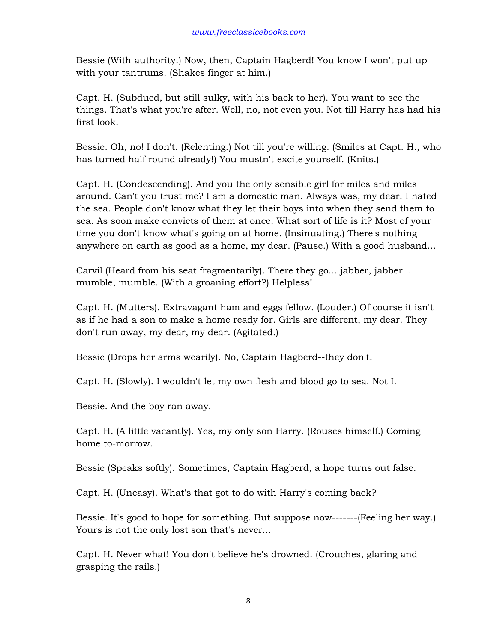Bessie (With authority.) Now, then, Captain Hagberd! You know I won't put up with your tantrums. (Shakes finger at him.)

Capt. H. (Subdued, but still sulky, with his back to her). You want to see the things. That's what you're after. Well, no, not even you. Not till Harry has had his first look.

Bessie. Oh, no! I don't. (Relenting.) Not till you're willing. (Smiles at Capt. H., who has turned half round already!) You mustn't excite yourself. (Knits.)

Capt. H. (Condescending). And you the only sensible girl for miles and miles around. Can't you trust me? I am a domestic man. Always was, my dear. I hated the sea. People don't know what they let their boys into when they send them to sea. As soon make convicts of them at once. What sort of life is it? Most of your time you don't know what's going on at home. (Insinuating.) There's nothing anywhere on earth as good as a home, my dear. (Pause.) With a good husband...

Carvil (Heard from his seat fragmentarily). There they go... jabber, jabber... mumble, mumble. (With a groaning effort?) Helpless!

Capt. H. (Mutters). Extravagant ham and eggs fellow. (Louder.) Of course it isn't as if he had a son to make a home ready for. Girls are different, my dear. They don't run away, my dear, my dear. (Agitated.)

Bessie (Drops her arms wearily). No, Captain Hagberd--they don't.

Capt. H. (Slowly). I wouldn't let my own flesh and blood go to sea. Not I.

Bessie. And the boy ran away.

Capt. H. (A little vacantly). Yes, my only son Harry. (Rouses himself.) Coming home to-morrow.

Bessie (Speaks softly). Sometimes, Captain Hagberd, a hope turns out false.

Capt. H. (Uneasy). What's that got to do with Harry's coming back?

Bessie. It's good to hope for something. But suppose now-------(Feeling her way.) Yours is not the only lost son that's never...

Capt. H. Never what! You don't believe he's drowned. (Crouches, glaring and grasping the rails.)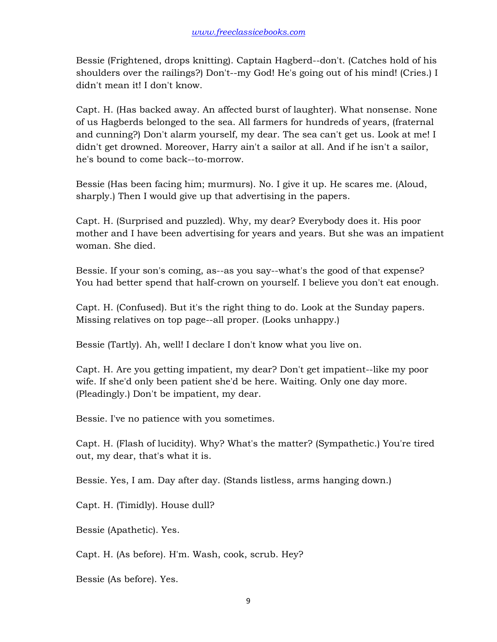Bessie (Frightened, drops knitting). Captain Hagberd--don't. (Catches hold of his shoulders over the railings?) Don't--my God! He's going out of his mind! (Cries.) I didn't mean it! I don't know.

Capt. H. (Has backed away. An affected burst of laughter). What nonsense. None of us Hagberds belonged to the sea. All farmers for hundreds of years, (fraternal and cunning?) Don't alarm yourself, my dear. The sea can't get us. Look at me! I didn't get drowned. Moreover, Harry ain't a sailor at all. And if he isn't a sailor, he's bound to come back--to-morrow.

Bessie (Has been facing him; murmurs). No. I give it up. He scares me. (Aloud, sharply.) Then I would give up that advertising in the papers.

Capt. H. (Surprised and puzzled). Why, my dear? Everybody does it. His poor mother and I have been advertising for years and years. But she was an impatient woman. She died.

Bessie. If your son's coming, as--as you say--what's the good of that expense? You had better spend that half-crown on yourself. I believe you don't eat enough.

Capt. H. (Confused). But it's the right thing to do. Look at the Sunday papers. Missing relatives on top page--all proper. (Looks unhappy.)

Bessie (Tartly). Ah, well! I declare I don't know what you live on.

Capt. H. Are you getting impatient, my dear? Don't get impatient--like my poor wife. If she'd only been patient she'd be here. Waiting. Only one day more. (Pleadingly.) Don't be impatient, my dear.

Bessie. I've no patience with you sometimes.

Capt. H. (Flash of lucidity). Why? What's the matter? (Sympathetic.) You're tired out, my dear, that's what it is.

Bessie. Yes, I am. Day after day. (Stands listless, arms hanging down.)

Capt. H. (Timidly). House dull?

Bessie (Apathetic). Yes.

Capt. H. (As before). H'm. Wash, cook, scrub. Hey?

Bessie (As before). Yes.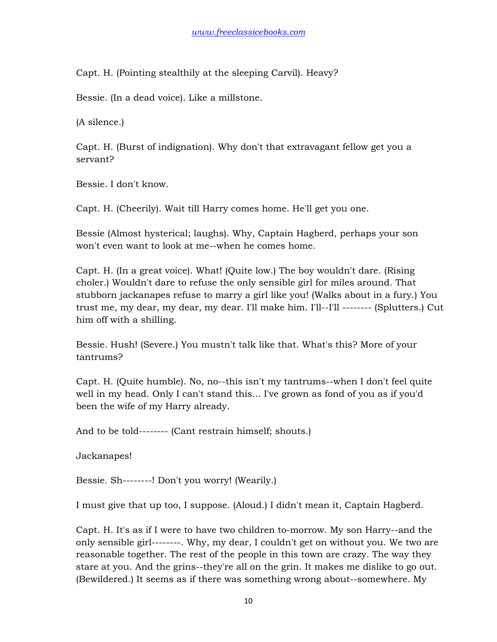Capt. H. (Pointing stealthily at the sleeping Carvil). Heavy?

Bessie. (In a dead voice). Like a millstone.

(A silence.)

Capt. H. (Burst of indignation). Why don't that extravagant fellow get you a servant?

Bessie. I don't know.

Capt. H. (Cheerily). Wait till Harry comes home. He'll get you one.

Bessie (Almost hysterical; laughs). Why, Captain Hagberd, perhaps your son won't even want to look at me--when he comes home.

Capt. H. (In a great voice). What! (Quite low.) The boy wouldn't dare. (Rising choler.) Wouldn't dare to refuse the only sensible girl for miles around. That stubborn jackanapes refuse to marry a girl like you! (Walks about in a fury.) You trust me, my dear, my dear, my dear. I'll make him. I'll--I'll -------- (Splutters.) Cut him off with a shilling.

Bessie. Hush! (Severe.) You mustn't talk like that. What's this? More of your tantrums?

Capt. H. (Quite humble). No, no--this isn't my tantrums--when I don't feel quite well in my head. Only I can't stand this... I've grown as fond of you as if you'd been the wife of my Harry already.

And to be told-------- (Cant restrain himself; shouts.)

Jackanapes!

Bessie. Sh--------! Don't you worry! (Wearily.)

I must give that up too, I suppose. (Aloud.) I didn't mean it, Captain Hagberd.

Capt. H. It's as if I were to have two children to-morrow. My son Harry--and the only sensible girl--------. Why, my dear, I couldn't get on without you. We two are reasonable together. The rest of the people in this town are crazy. The way they stare at you. And the grins--they're all on the grin. It makes me dislike to go out. (Bewildered.) It seems as if there was something wrong about--somewhere. My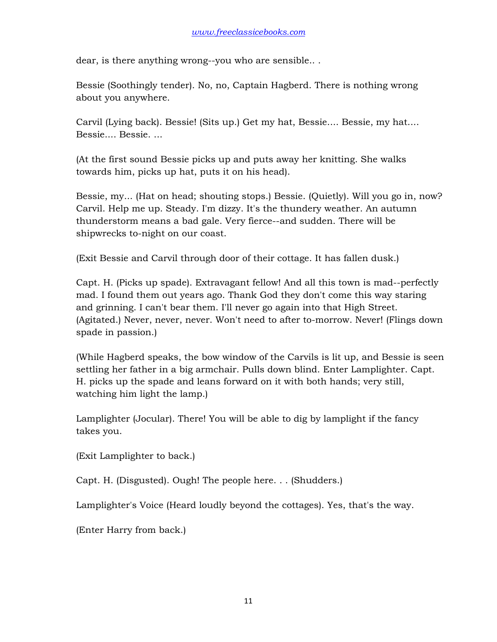dear, is there anything wrong--you who are sensible.. .

Bessie (Soothingly tender). No, no, Captain Hagberd. There is nothing wrong about you anywhere.

Carvil (Lying back). Bessie! (Sits up.) Get my hat, Bessie.... Bessie, my hat.... Bessie.... Bessie. ...

(At the first sound Bessie picks up and puts away her knitting. She walks towards him, picks up hat, puts it on his head).

Bessie, my... (Hat on head; shouting stops.) Bessie. (Quietly). Will you go in, now? Carvil. Help me up. Steady. I'm dizzy. It's the thundery weather. An autumn thunderstorm means a bad gale. Very fierce--and sudden. There will be shipwrecks to-night on our coast.

(Exit Bessie and Carvil through door of their cottage. It has fallen dusk.)

Capt. H. (Picks up spade). Extravagant fellow! And all this town is mad--perfectly mad. I found them out years ago. Thank God they don't come this way staring and grinning. I can't bear them. I'll never go again into that High Street. (Agitated.) Never, never, never. Won't need to after to-morrow. Never! (Flings down spade in passion.)

(While Hagberd speaks, the bow window of the Carvils is lit up, and Bessie is seen settling her father in a big armchair. Pulls down blind. Enter Lamplighter. Capt. H. picks up the spade and leans forward on it with both hands; very still, watching him light the lamp.)

Lamplighter (Jocular). There! You will be able to dig by lamplight if the fancy takes you.

(Exit Lamplighter to back.)

Capt. H. (Disgusted). Ough! The people here. . . (Shudders.)

Lamplighter's Voice (Heard loudly beyond the cottages). Yes, that's the way.

(Enter Harry from back.)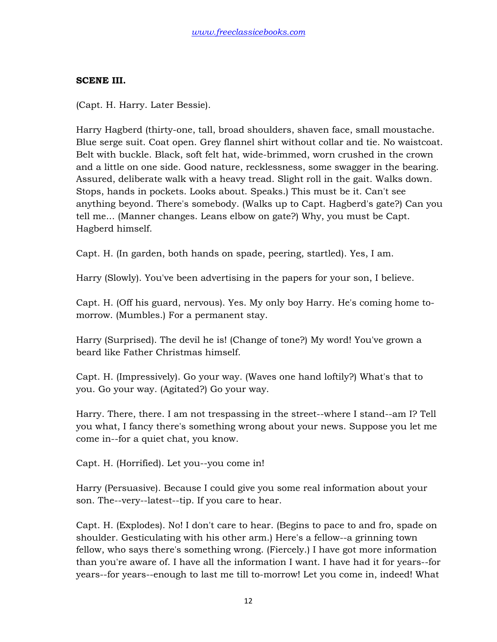#### **SCENE III.**

(Capt. H. Harry. Later Bessie).

Harry Hagberd (thirty-one, tall, broad shoulders, shaven face, small moustache. Blue serge suit. Coat open. Grey flannel shirt without collar and tie. No waistcoat. Belt with buckle. Black, soft felt hat, wide-brimmed, worn crushed in the crown and a little on one side. Good nature, recklessness, some swagger in the bearing. Assured, deliberate walk with a heavy tread. Slight roll in the gait. Walks down. Stops, hands in pockets. Looks about. Speaks.) This must be it. Can't see anything beyond. There's somebody. (Walks up to Capt. Hagberd's gate?) Can you tell me... (Manner changes. Leans elbow on gate?) Why, you must be Capt. Hagberd himself.

Capt. H. (In garden, both hands on spade, peering, startled). Yes, I am.

Harry (Slowly). You've been advertising in the papers for your son, I believe.

Capt. H. (Off his guard, nervous). Yes. My only boy Harry. He's coming home tomorrow. (Mumbles.) For a permanent stay.

Harry (Surprised). The devil he is! (Change of tone?) My word! You've grown a beard like Father Christmas himself.

Capt. H. (Impressively). Go your way. (Waves one hand loftily?) What's that to you. Go your way. (Agitated?) Go your way.

Harry. There, there. I am not trespassing in the street--where I stand--am I? Tell you what, I fancy there's something wrong about your news. Suppose you let me come in--for a quiet chat, you know.

Capt. H. (Horrified). Let you--you come in!

Harry (Persuasive). Because I could give you some real information about your son. The--very--latest--tip. If you care to hear.

Capt. H. (Explodes). No! I don't care to hear. (Begins to pace to and fro, spade on shoulder. Gesticulating with his other arm.) Here's a fellow--a grinning town fellow, who says there's something wrong. (Fiercely.) I have got more information than you're aware of. I have all the information I want. I have had it for years--for years--for years--enough to last me till to-morrow! Let you come in, indeed! What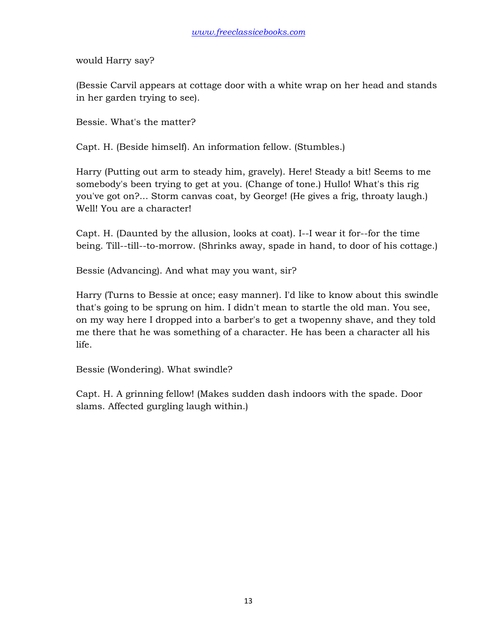would Harry say?

(Bessie Carvil appears at cottage door with a white wrap on her head and stands in her garden trying to see).

Bessie. What's the matter?

Capt. H. (Beside himself). An information fellow. (Stumbles.)

Harry (Putting out arm to steady him, gravely). Here! Steady a bit! Seems to me somebody's been trying to get at you. (Change of tone.) Hullo! What's this rig you've got on?... Storm canvas coat, by George! (He gives a frig, throaty laugh.) Well! You are a character!

Capt. H. (Daunted by the allusion, looks at coat). I--I wear it for--for the time being. Till--till--to-morrow. (Shrinks away, spade in hand, to door of his cottage.)

Bessie (Advancing). And what may you want, sir?

Harry (Turns to Bessie at once; easy manner). I'd like to know about this swindle that's going to be sprung on him. I didn't mean to startle the old man. You see, on my way here I dropped into a barber's to get a twopenny shave, and they told me there that he was something of a character. He has been a character all his life.

Bessie (Wondering). What swindle?

Capt. H. A grinning fellow! (Makes sudden dash indoors with the spade. Door slams. Affected gurgling laugh within.)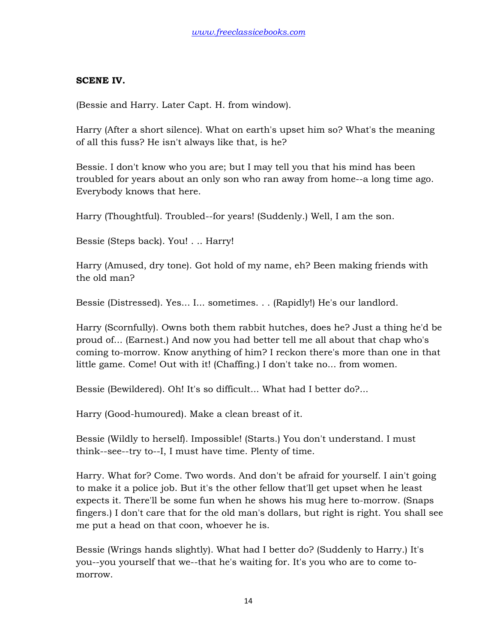#### **SCENE IV.**

(Bessie and Harry. Later Capt. H. from window).

Harry (After a short silence). What on earth's upset him so? What's the meaning of all this fuss? He isn't always like that, is he?

Bessie. I don't know who you are; but I may tell you that his mind has been troubled for years about an only son who ran away from home--a long time ago. Everybody knows that here.

Harry (Thoughtful). Troubled--for years! (Suddenly.) Well, I am the son.

Bessie (Steps back). You! . .. Harry!

Harry (Amused, dry tone). Got hold of my name, eh? Been making friends with the old man?

Bessie (Distressed). Yes... I... sometimes. . . (Rapidly!) He's our landlord.

Harry (Scornfully). Owns both them rabbit hutches, does he? Just a thing he'd be proud of... (Earnest.) And now you had better tell me all about that chap who's coming to-morrow. Know anything of him? I reckon there's more than one in that little game. Come! Out with it! (Chaffing.) I don't take no... from women.

Bessie (Bewildered). Oh! It's so difficult... What had I better do?...

Harry (Good-humoured). Make a clean breast of it.

Bessie (Wildly to herself). Impossible! (Starts.) You don't understand. I must think--see--try to--I, I must have time. Plenty of time.

Harry. What for? Come. Two words. And don't be afraid for yourself. I ain't going to make it a police job. But it's the other fellow that'll get upset when he least expects it. There'll be some fun when he shows his mug here to-morrow. (Snaps fingers.) I don't care that for the old man's dollars, but right is right. You shall see me put a head on that coon, whoever he is.

Bessie (Wrings hands slightly). What had I better do? (Suddenly to Harry.) It's you--you yourself that we--that he's waiting for. It's you who are to come tomorrow.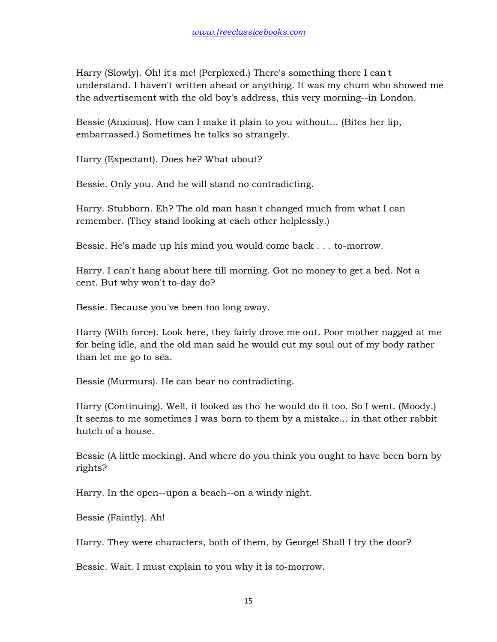Harry (Slowly). Oh! it's me! (Perplexed.) There's something there I can't understand. I haven't written ahead or anything. It was my chum who showed me the advertisement with the old boy's address, this very morning--in London.

Bessie (Anxious). How can I make it plain to you without... (Bites her lip, embarrassed.) Sometimes he talks so strangely.

Harry (Expectant). Does he? What about?

Bessie. Only you. And he will stand no contradicting.

Harry. Stubborn. Eh? The old man hasn't changed much from what I can remember. (They stand looking at each other helplessly.)

Bessie. He's made up his mind you would come back . . . to-morrow.

Harry. I can't hang about here till morning. Got no money to get a bed. Not a cent. But why won't to-day do?

Bessie. Because you've been too long away.

Harry (With force). Look here, they fairly drove me out. Poor mother nagged at me for being idle, and the old man said he would cut my soul out of my body rather than let me go to sea.

Bessie (Murmurs). He can bear no contradicting.

Harry (Continuing). Well, it looked as tho' he would do it too. So I went. (Moody.) It seems to me sometimes I was born to them by a mistake... in that other rabbit hutch of a house.

Bessie (A little mocking). And where do you think you ought to have been born by rights?

Harry. In the open--upon a beach--on a windy night.

Bessie (Faintly). Ah!

Harry. They were characters, both of them, by George! Shall I try the door?

Bessie. Wait. I must explain to you why it is to-morrow.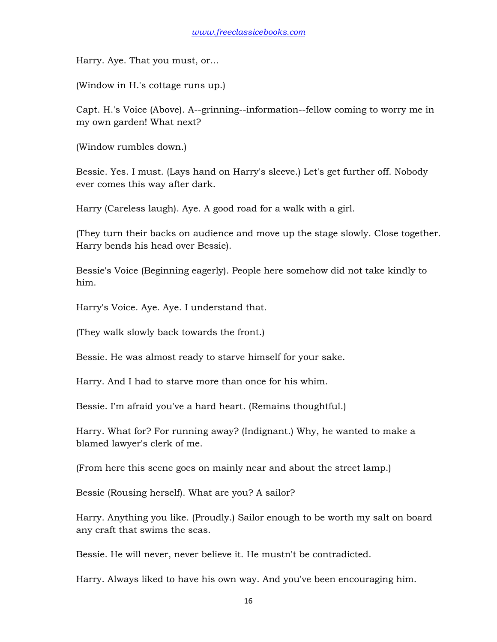Harry. Aye. That you must, or...

(Window in H.'s cottage runs up.)

Capt. H.'s Voice (Above). A--grinning--information--fellow coming to worry me in my own garden! What next?

(Window rumbles down.)

Bessie. Yes. I must. (Lays hand on Harry's sleeve.) Let's get further off. Nobody ever comes this way after dark.

Harry (Careless laugh). Aye. A good road for a walk with a girl.

(They turn their backs on audience and move up the stage slowly. Close together. Harry bends his head over Bessie).

Bessie's Voice (Beginning eagerly). People here somehow did not take kindly to him.

Harry's Voice. Aye. Aye. I understand that.

(They walk slowly back towards the front.)

Bessie. He was almost ready to starve himself for your sake.

Harry. And I had to starve more than once for his whim.

Bessie. I'm afraid you've a hard heart. (Remains thoughtful.)

Harry. What for? For running away? (Indignant.) Why, he wanted to make a blamed lawyer's clerk of me.

(From here this scene goes on mainly near and about the street lamp.)

Bessie (Rousing herself). What are you? A sailor?

Harry. Anything you like. (Proudly.) Sailor enough to be worth my salt on board any craft that swims the seas.

Bessie. He will never, never believe it. He mustn't be contradicted.

Harry. Always liked to have his own way. And you've been encouraging him.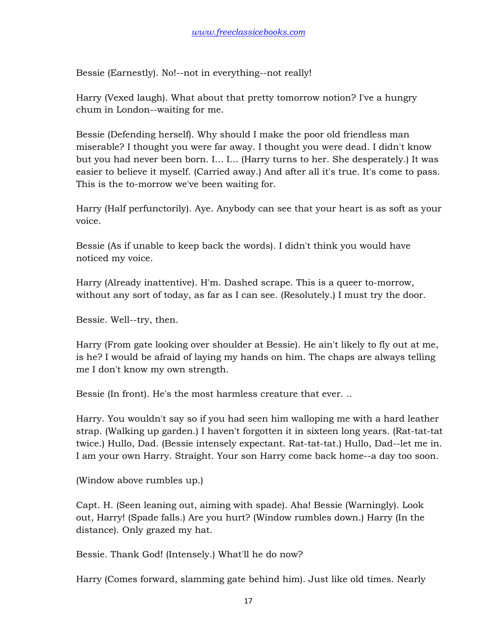Bessie (Earnestly). No!--not in everything--not really!

Harry (Vexed laugh). What about that pretty tomorrow notion? I've a hungry chum in London--waiting for me.

Bessie (Defending herself). Why should I make the poor old friendless man miserable? I thought you were far away. I thought you were dead. I didn't know but you had never been born. I... I... (Harry turns to her. She desperately.) It was easier to believe it myself. (Carried away.) And after all it's true. It's come to pass. This is the to-morrow we've been waiting for.

Harry (Half perfunctorily). Aye. Anybody can see that your heart is as soft as your voice.

Bessie (As if unable to keep back the words). I didn't think you would have noticed my voice.

Harry (Already inattentive). H'm. Dashed scrape. This is a queer to-morrow, without any sort of today, as far as I can see. (Resolutely.) I must try the door.

Bessie. Well--try, then.

Harry (From gate looking over shoulder at Bessie). He ain't likely to fly out at me, is he? I would be afraid of laying my hands on him. The chaps are always telling me I don't know my own strength.

Bessie (In front). He's the most harmless creature that ever. ..

Harry. You wouldn't say so if you had seen him walloping me with a hard leather strap. (Walking up garden.) I haven't forgotten it in sixteen long years. (Rat-tat-tat twice.) Hullo, Dad. (Bessie intensely expectant. Rat-tat-tat.) Hullo, Dad--let me in. I am your own Harry. Straight. Your son Harry come back home--a day too soon.

(Window above rumbles up.)

Capt. H. (Seen leaning out, aiming with spade). Aha! Bessie (Warningly). Look out, Harry! (Spade falls.) Are you hurt? (Window rumbles down.) Harry (In the distance). Only grazed my hat.

Bessie. Thank God! (Intensely.) What'll he do now?

Harry (Comes forward, slamming gate behind him). Just like old times. Nearly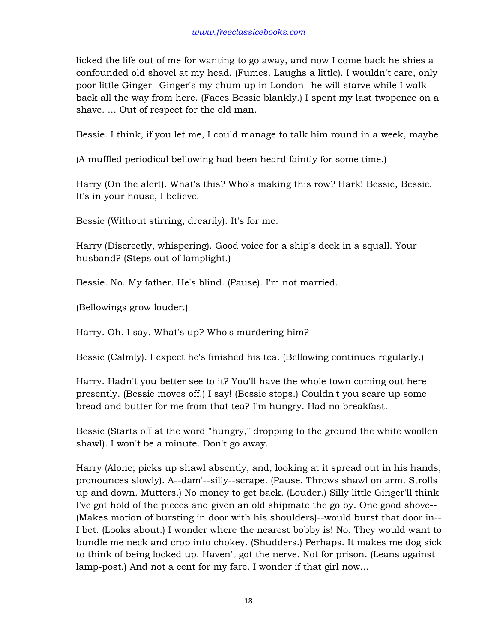licked the life out of me for wanting to go away, and now I come back he shies a confounded old shovel at my head. (Fumes. Laughs a little). I wouldn't care, only poor little Ginger--Ginger's my chum up in London--he will starve while I walk back all the way from here. (Faces Bessie blankly.) I spent my last twopence on a shave. ... Out of respect for the old man.

Bessie. I think, if you let me, I could manage to talk him round in a week, maybe.

(A muffled periodical bellowing had been heard faintly for some time.)

Harry (On the alert). What's this? Who's making this row? Hark! Bessie, Bessie. It's in your house, I believe.

Bessie (Without stirring, drearily). It's for me.

Harry (Discreetly, whispering). Good voice for a ship's deck in a squall. Your husband? (Steps out of lamplight.)

Bessie. No. My father. He's blind. (Pause). I'm not married.

(Bellowings grow louder.)

Harry. Oh, I say. What's up? Who's murdering him?

Bessie (Calmly). I expect he's finished his tea. (Bellowing continues regularly.)

Harry. Hadn't you better see to it? You'll have the whole town coming out here presently. (Bessie moves off.) I say! (Bessie stops.) Couldn't you scare up some bread and butter for me from that tea? I'm hungry. Had no breakfast.

Bessie (Starts off at the word "hungry," dropping to the ground the white woollen shawl). I won't be a minute. Don't go away.

Harry (Alone; picks up shawl absently, and, looking at it spread out in his hands, pronounces slowly). A--dam'--silly--scrape. (Pause. Throws shawl on arm. Strolls up and down. Mutters.) No money to get back. (Louder.) Silly little Ginger'll think I've got hold of the pieces and given an old shipmate the go by. One good shove-- (Makes motion of bursting in door with his shoulders)--would burst that door in-- I bet. (Looks about.) I wonder where the nearest bobby is! No. They would want to bundle me neck and crop into chokey. (Shudders.) Perhaps. It makes me dog sick to think of being locked up. Haven't got the nerve. Not for prison. (Leans against lamp-post.) And not a cent for my fare. I wonder if that girl now...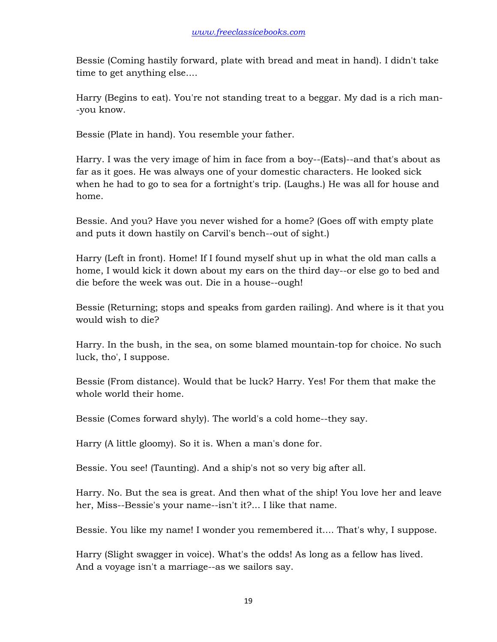Bessie (Coming hastily forward, plate with bread and meat in hand). I didn't take time to get anything else....

Harry (Begins to eat). You're not standing treat to a beggar. My dad is a rich man- -you know.

Bessie (Plate in hand). You resemble your father.

Harry. I was the very image of him in face from a boy--(Eats)--and that's about as far as it goes. He was always one of your domestic characters. He looked sick when he had to go to sea for a fortnight's trip. (Laughs.) He was all for house and home.

Bessie. And you? Have you never wished for a home? (Goes off with empty plate and puts it down hastily on Carvil's bench--out of sight.)

Harry (Left in front). Home! If I found myself shut up in what the old man calls a home, I would kick it down about my ears on the third day--or else go to bed and die before the week was out. Die in a house--ough!

Bessie (Returning; stops and speaks from garden railing). And where is it that you would wish to die?

Harry. In the bush, in the sea, on some blamed mountain-top for choice. No such luck, tho', I suppose.

Bessie (From distance). Would that be luck? Harry. Yes! For them that make the whole world their home.

Bessie (Comes forward shyly). The world's a cold home--they say.

Harry (A little gloomy). So it is. When a man's done for.

Bessie. You see! (Taunting). And a ship's not so very big after all.

Harry. No. But the sea is great. And then what of the ship! You love her and leave her, Miss--Bessie's your name--isn't it?... I like that name.

Bessie. You like my name! I wonder you remembered it.... That's why, I suppose.

Harry (Slight swagger in voice). What's the odds! As long as a fellow has lived. And a voyage isn't a marriage--as we sailors say.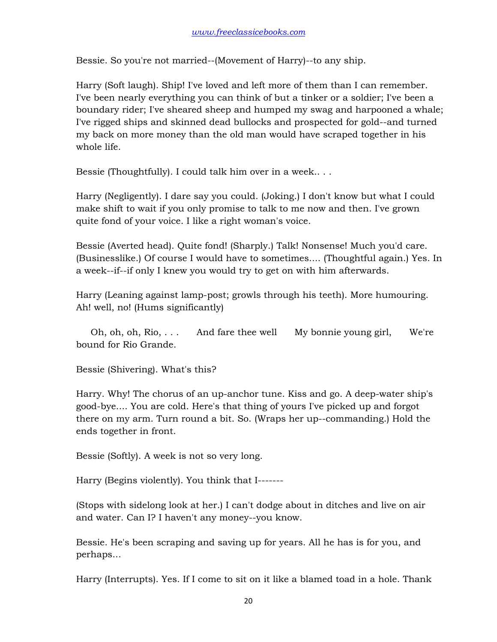Bessie. So you're not married--(Movement of Harry)--to any ship.

Harry (Soft laugh). Ship! I've loved and left more of them than I can remember. I've been nearly everything you can think of but a tinker or a soldier; I've been a boundary rider; I've sheared sheep and humped my swag and harpooned a whale; I've rigged ships and skinned dead bullocks and prospected for gold--and turned my back on more money than the old man would have scraped together in his whole life.

Bessie (Thoughtfully). I could talk him over in a week.. . .

Harry (Negligently). I dare say you could. (Joking.) I don't know but what I could make shift to wait if you only promise to talk to me now and then. I've grown quite fond of your voice. I like a right woman's voice.

Bessie (Averted head). Quite fond! (Sharply.) Talk! Nonsense! Much you'd care. (Businesslike.) Of course I would have to sometimes.... (Thoughtful again.) Yes. In a week--if--if only I knew you would try to get on with him afterwards.

Harry (Leaning against lamp-post; growls through his teeth). More humouring. Ah! well, no! (Hums significantly)

 Oh, oh, oh, Rio, . . . And fare thee well My bonnie young girl, We're bound for Rio Grande.

Bessie (Shivering). What's this?

Harry. Why! The chorus of an up-anchor tune. Kiss and go. A deep-water ship's good-bye.... You are cold. Here's that thing of yours I've picked up and forgot there on my arm. Turn round a bit. So. (Wraps her up--commanding.) Hold the ends together in front.

Bessie (Softly). A week is not so very long.

Harry (Begins violently). You think that I-------

(Stops with sidelong look at her.) I can't dodge about in ditches and live on air and water. Can I? I haven't any money--you know.

Bessie. He's been scraping and saving up for years. All he has is for you, and perhaps...

Harry (Interrupts). Yes. If I come to sit on it like a blamed toad in a hole. Thank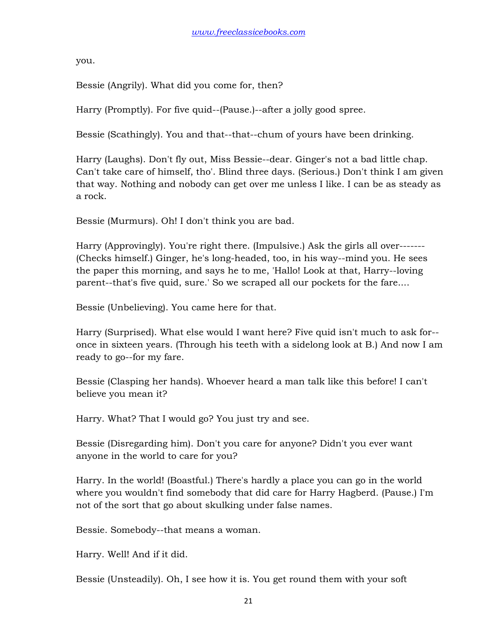you.

Bessie (Angrily). What did you come for, then?

Harry (Promptly). For five quid--(Pause.)--after a jolly good spree.

Bessie (Scathingly). You and that--that--chum of yours have been drinking.

Harry (Laughs). Don't fly out, Miss Bessie--dear. Ginger's not a bad little chap. Can't take care of himself, tho'. Blind three days. (Serious.) Don't think I am given that way. Nothing and nobody can get over me unless I like. I can be as steady as a rock.

Bessie (Murmurs). Oh! I don't think you are bad.

Harry (Approvingly). You're right there. (Impulsive.) Ask the girls all over------- (Checks himself.) Ginger, he's long-headed, too, in his way--mind you. He sees the paper this morning, and says he to me, 'Hallo! Look at that, Harry--loving parent--that's five quid, sure.' So we scraped all our pockets for the fare....

Bessie (Unbelieving). You came here for that.

Harry (Surprised). What else would I want here? Five quid isn't much to ask for- once in sixteen years. (Through his teeth with a sidelong look at B.) And now I am ready to go--for my fare.

Bessie (Clasping her hands). Whoever heard a man talk like this before! I can't believe you mean it?

Harry. What? That I would go? You just try and see.

Bessie (Disregarding him). Don't you care for anyone? Didn't you ever want anyone in the world to care for you?

Harry. In the world! (Boastful.) There's hardly a place you can go in the world where you wouldn't find somebody that did care for Harry Hagberd. (Pause.) I'm not of the sort that go about skulking under false names.

Bessie. Somebody--that means a woman.

Harry. Well! And if it did.

Bessie (Unsteadily). Oh, I see how it is. You get round them with your soft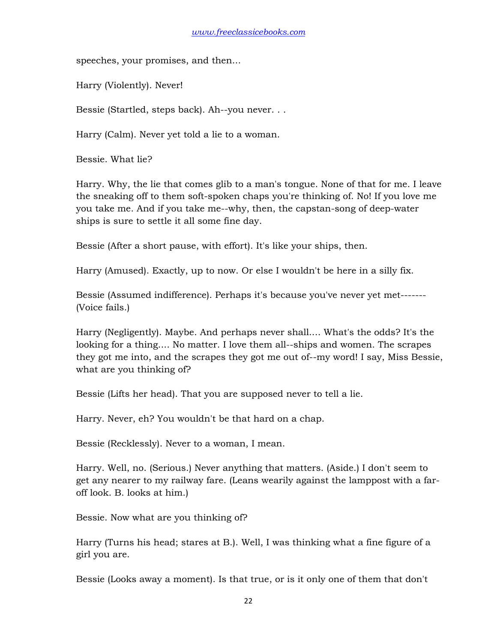speeches, your promises, and then...

Harry (Violently). Never!

Bessie (Startled, steps back). Ah--you never. . .

Harry (Calm). Never yet told a lie to a woman.

Bessie. What lie?

Harry. Why, the lie that comes glib to a man's tongue. None of that for me. I leave the sneaking off to them soft-spoken chaps you're thinking of. No! If you love me you take me. And if you take me--why, then, the capstan-song of deep-water ships is sure to settle it all some fine day.

Bessie (After a short pause, with effort). It's like your ships, then.

Harry (Amused). Exactly, up to now. Or else I wouldn't be here in a silly fix.

Bessie (Assumed indifference). Perhaps it's because you've never yet met------- (Voice fails.)

Harry (Negligently). Maybe. And perhaps never shall.... What's the odds? It's the looking for a thing.... No matter. I love them all--ships and women. The scrapes they got me into, and the scrapes they got me out of--my word! I say, Miss Bessie, what are you thinking of?

Bessie (Lifts her head). That you are supposed never to tell a lie.

Harry. Never, eh? You wouldn't be that hard on a chap.

Bessie (Recklessly). Never to a woman, I mean.

Harry. Well, no. (Serious.) Never anything that matters. (Aside.) I don't seem to get any nearer to my railway fare. (Leans wearily against the lamppost with a faroff look. B. looks at him.)

Bessie. Now what are you thinking of?

Harry (Turns his head; stares at B.). Well, I was thinking what a fine figure of a girl you are.

Bessie (Looks away a moment). Is that true, or is it only one of them that don't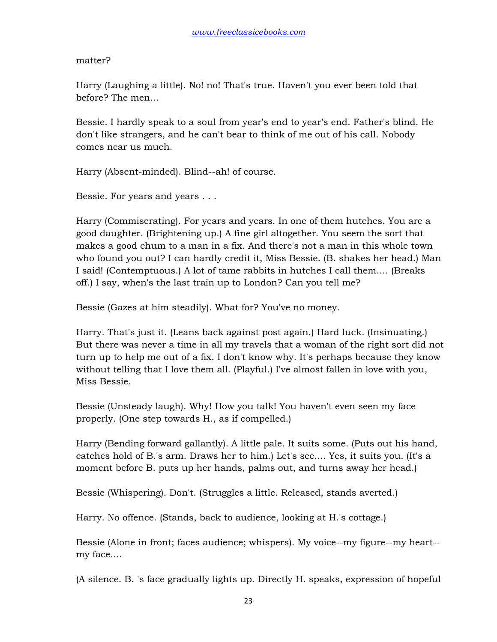matter?

Harry (Laughing a little). No! no! That's true. Haven't you ever been told that before? The men...

Bessie. I hardly speak to a soul from year's end to year's end. Father's blind. He don't like strangers, and he can't bear to think of me out of his call. Nobody comes near us much.

Harry (Absent-minded). Blind--ah! of course.

Bessie. For years and years . . .

Harry (Commiserating). For years and years. In one of them hutches. You are a good daughter. (Brightening up.) A fine girl altogether. You seem the sort that makes a good chum to a man in a fix. And there's not a man in this whole town who found you out? I can hardly credit it, Miss Bessie. (B. shakes her head.) Man I said! (Contemptuous.) A lot of tame rabbits in hutches I call them.... (Breaks off.) I say, when's the last train up to London? Can you tell me?

Bessie (Gazes at him steadily). What for? You've no money.

Harry. That's just it. (Leans back against post again.) Hard luck. (Insinuating.) But there was never a time in all my travels that a woman of the right sort did not turn up to help me out of a fix. I don't know why. It's perhaps because they know without telling that I love them all. (Playful.) I've almost fallen in love with you, Miss Bessie.

Bessie (Unsteady laugh). Why! How you talk! You haven't even seen my face properly. (One step towards H., as if compelled.)

Harry (Bending forward gallantly). A little pale. It suits some. (Puts out his hand, catches hold of B.'s arm. Draws her to him.) Let's see.... Yes, it suits you. (It's a moment before B. puts up her hands, palms out, and turns away her head.)

Bessie (Whispering). Don't. (Struggles a little. Released, stands averted.)

Harry. No offence. (Stands, back to audience, looking at H.'s cottage.)

Bessie (Alone in front; faces audience; whispers). My voice--my figure--my heart- my face....

(A silence. B. 's face gradually lights up. Directly H. speaks, expression of hopeful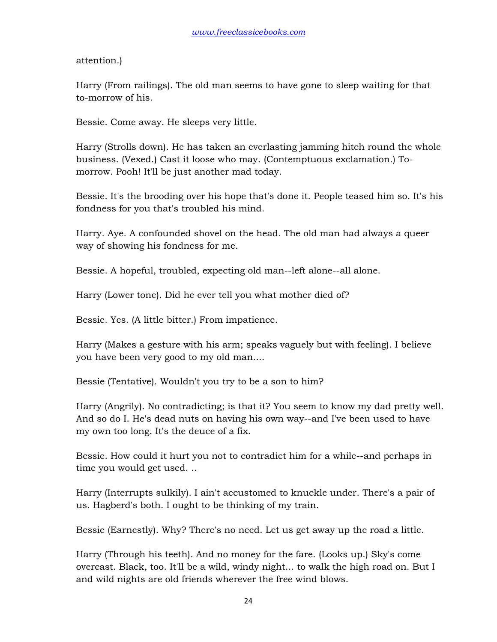attention.)

Harry (From railings). The old man seems to have gone to sleep waiting for that to-morrow of his.

Bessie. Come away. He sleeps very little.

Harry (Strolls down). He has taken an everlasting jamming hitch round the whole business. (Vexed.) Cast it loose who may. (Contemptuous exclamation.) Tomorrow. Pooh! It'll be just another mad today.

Bessie. It's the brooding over his hope that's done it. People teased him so. It's his fondness for you that's troubled his mind.

Harry. Aye. A confounded shovel on the head. The old man had always a queer way of showing his fondness for me.

Bessie. A hopeful, troubled, expecting old man--left alone--all alone.

Harry (Lower tone). Did he ever tell you what mother died of?

Bessie. Yes. (A little bitter.) From impatience.

Harry (Makes a gesture with his arm; speaks vaguely but with feeling). I believe you have been very good to my old man....

Bessie (Tentative). Wouldn't you try to be a son to him?

Harry (Angrily). No contradicting; is that it? You seem to know my dad pretty well. And so do I. He's dead nuts on having his own way--and I've been used to have my own too long. It's the deuce of a fix.

Bessie. How could it hurt you not to contradict him for a while--and perhaps in time you would get used. ..

Harry (Interrupts sulkily). I ain't accustomed to knuckle under. There's a pair of us. Hagberd's both. I ought to be thinking of my train.

Bessie (Earnestly). Why? There's no need. Let us get away up the road a little.

Harry (Through his teeth). And no money for the fare. (Looks up.) Sky's come overcast. Black, too. It'll be a wild, windy night... to walk the high road on. But I and wild nights are old friends wherever the free wind blows.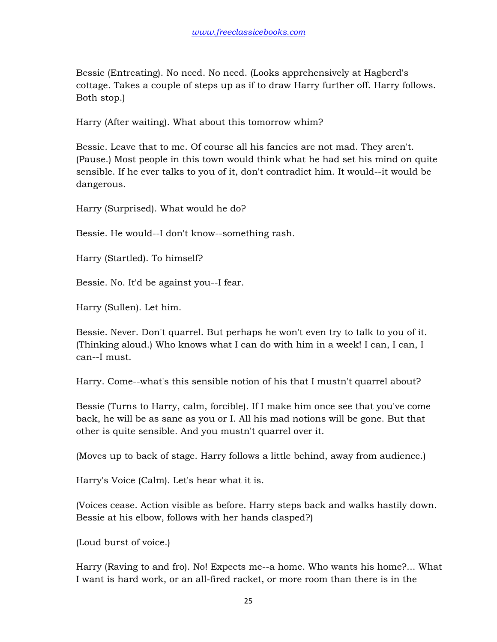Bessie (Entreating). No need. No need. (Looks apprehensively at Hagberd's cottage. Takes a couple of steps up as if to draw Harry further off. Harry follows. Both stop.)

Harry (After waiting). What about this tomorrow whim?

Bessie. Leave that to me. Of course all his fancies are not mad. They aren't. (Pause.) Most people in this town would think what he had set his mind on quite sensible. If he ever talks to you of it, don't contradict him. It would--it would be dangerous.

Harry (Surprised). What would he do?

Bessie. He would--I don't know--something rash.

Harry (Startled). To himself?

Bessie. No. It'd be against you--I fear.

Harry (Sullen). Let him.

Bessie. Never. Don't quarrel. But perhaps he won't even try to talk to you of it. (Thinking aloud.) Who knows what I can do with him in a week! I can, I can, I can--I must.

Harry. Come--what's this sensible notion of his that I mustn't quarrel about?

Bessie (Turns to Harry, calm, forcible). If I make him once see that you've come back, he will be as sane as you or I. All his mad notions will be gone. But that other is quite sensible. And you mustn't quarrel over it.

(Moves up to back of stage. Harry follows a little behind, away from audience.)

Harry's Voice (Calm). Let's hear what it is.

(Voices cease. Action visible as before. Harry steps back and walks hastily down. Bessie at his elbow, follows with her hands clasped?)

(Loud burst of voice.)

Harry (Raving to and fro). No! Expects me--a home. Who wants his home?... What I want is hard work, or an all-fired racket, or more room than there is in the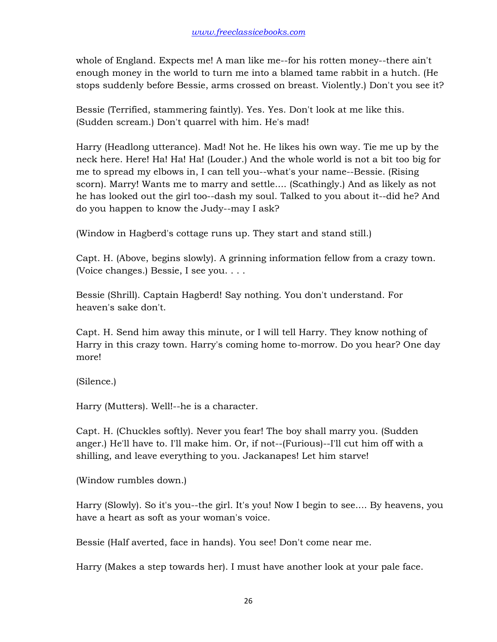whole of England. Expects me! A man like me--for his rotten money--there ain't enough money in the world to turn me into a blamed tame rabbit in a hutch. (He stops suddenly before Bessie, arms crossed on breast. Violently.) Don't you see it?

Bessie (Terrified, stammering faintly). Yes. Yes. Don't look at me like this. (Sudden scream.) Don't quarrel with him. He's mad!

Harry (Headlong utterance). Mad! Not he. He likes his own way. Tie me up by the neck here. Here! Ha! Ha! Ha! (Louder.) And the whole world is not a bit too big for me to spread my elbows in, I can tell you--what's your name--Bessie. (Rising scorn). Marry! Wants me to marry and settle.... (Scathingly.) And as likely as not he has looked out the girl too--dash my soul. Talked to you about it--did he? And do you happen to know the Judy--may I ask?

(Window in Hagberd's cottage runs up. They start and stand still.)

Capt. H. (Above, begins slowly). A grinning information fellow from a crazy town. (Voice changes.) Bessie, I see you. . . .

Bessie (Shrill). Captain Hagberd! Say nothing. You don't understand. For heaven's sake don't.

Capt. H. Send him away this minute, or I will tell Harry. They know nothing of Harry in this crazy town. Harry's coming home to-morrow. Do you hear? One day more!

(Silence.)

Harry (Mutters). Well!--he is a character.

Capt. H. (Chuckles softly). Never you fear! The boy shall marry you. (Sudden anger.) He'll have to. I'll make him. Or, if not--(Furious)--I'll cut him off with a shilling, and leave everything to you. Jackanapes! Let him starve!

(Window rumbles down.)

Harry (Slowly). So it's you--the girl. It's you! Now I begin to see.... By heavens, you have a heart as soft as your woman's voice.

Bessie (Half averted, face in hands). You see! Don't come near me.

Harry (Makes a step towards her). I must have another look at your pale face.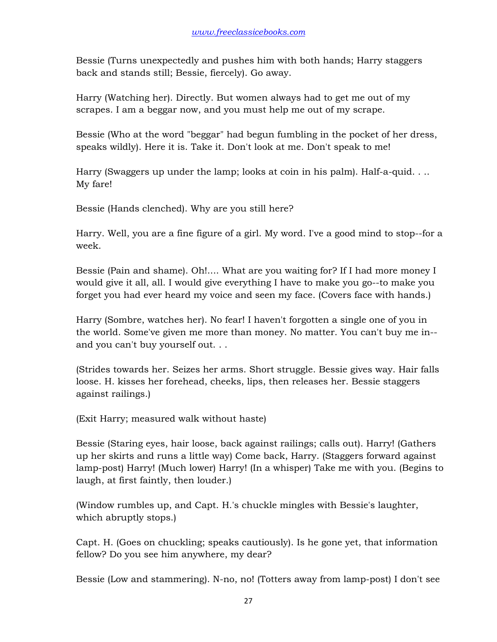Bessie (Turns unexpectedly and pushes him with both hands; Harry staggers back and stands still; Bessie, fiercely). Go away.

Harry (Watching her). Directly. But women always had to get me out of my scrapes. I am a beggar now, and you must help me out of my scrape.

Bessie (Who at the word "beggar" had begun fumbling in the pocket of her dress, speaks wildly). Here it is. Take it. Don't look at me. Don't speak to me!

Harry (Swaggers up under the lamp; looks at coin in his palm). Half-a-quid. . .. My fare!

Bessie (Hands clenched). Why are you still here?

Harry. Well, you are a fine figure of a girl. My word. I've a good mind to stop--for a week.

Bessie (Pain and shame). Oh!.... What are you waiting for? If I had more money I would give it all, all. I would give everything I have to make you go--to make you forget you had ever heard my voice and seen my face. (Covers face with hands.)

Harry (Sombre, watches her). No fear! I haven't forgotten a single one of you in the world. Some've given me more than money. No matter. You can't buy me in- and you can't buy yourself out. . .

(Strides towards her. Seizes her arms. Short struggle. Bessie gives way. Hair falls loose. H. kisses her forehead, cheeks, lips, then releases her. Bessie staggers against railings.)

(Exit Harry; measured walk without haste)

Bessie (Staring eyes, hair loose, back against railings; calls out). Harry! (Gathers up her skirts and runs a little way) Come back, Harry. (Staggers forward against lamp-post) Harry! (Much lower) Harry! (In a whisper) Take me with you. (Begins to laugh, at first faintly, then louder.)

(Window rumbles up, and Capt. H.'s chuckle mingles with Bessie's laughter, which abruptly stops.)

Capt. H. (Goes on chuckling; speaks cautiously). Is he gone yet, that information fellow? Do you see him anywhere, my dear?

Bessie (Low and stammering). N-no, no! (Totters away from lamp-post) I don't see